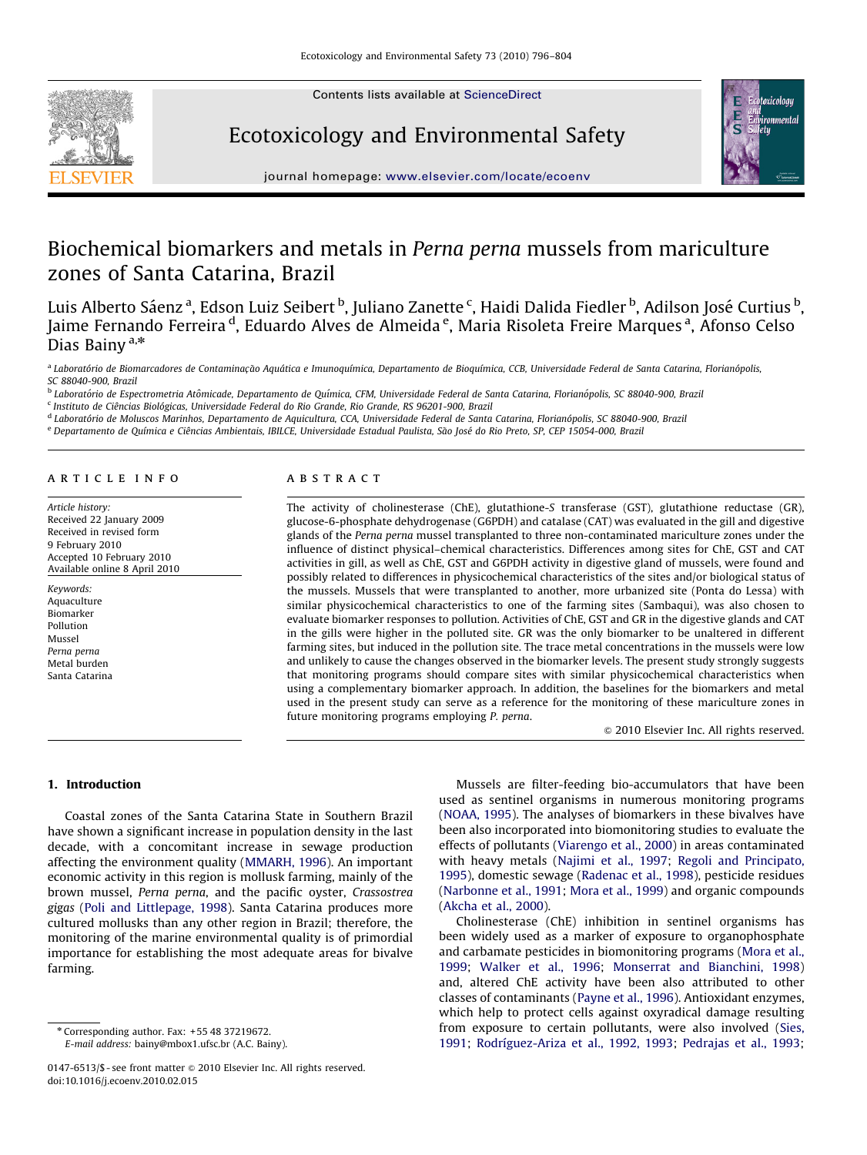

Contents lists available at ScienceDirect

## Ecotoxicology and Environmental Safety



journal homepage: <www.elsevier.com/locate/ecoenv>

# Biochemical biomarkers and metals in Perna perna mussels from mariculture zones of Santa Catarina, Brazil

Luis Alberto Sáenz <sup>a</sup>, Edson Luiz Seibert <sup>b</sup>, Juliano Zanette <sup>c</sup>, Haidi Dalida Fiedler <sup>b</sup>, Adilson José Curtius <sup>b</sup>, Jaime Fernando Ferreira <sup>d</sup>, Eduardo Alves de Almeida <sup>e</sup>, Maria Risoleta Freire Marques <sup>a</sup>, Afonso Celso Dias Bainy  $a,*$ 

a Laboratório de Biomarcadores de Contaminação Aquática e Imunoquímica, Departamento de Bioquímica, CCB, Universidade Federal de Santa Catarina, Florianópolis, SC 88040-900, Brazil

<sup>b</sup> Laboratório de Espectrometria Atômicade, Departamento de Química, CFM, Universidade Federal de Santa Catarina, Florianópolis, SC 88040-900, Brazil

<sup>c</sup> Instituto de Ciências Biológicas, Universidade Federal do Rio Grande, Rio Grande, RS 96201-900, Brazil

<sup>d</sup> Laboratório de Moluscos Marinhos, Departamento de Aquicultura, CCA, Universidade Federal de Santa Catarina, Florianópolis, SC 88040-900, Brazil

e Departamento de Química e Ciências Ambientais, IBILCE, Universidade Estadual Paulista, São José do Rio Preto, SP, CEP 15054-000, Brazil

## article info

Article history: Received 22 January 2009 Received in revised form 9 February 2010 Accepted 10 February 2010 Available online 8 April 2010

Keywords: Aquaculture Biomarker Pollution Mussel Perna perna Metal burden Santa Catarina

## **ABSTRACT**

The activity of cholinesterase (ChE), glutathione-S transferase (GST), glutathione reductase (GR), glucose-6-phosphate dehydrogenase (G6PDH) and catalase (CAT) was evaluated in the gill and digestive glands of the Perna perna mussel transplanted to three non-contaminated mariculture zones under the influence of distinct physical–chemical characteristics. Differences among sites for ChE, GST and CAT activities in gill, as well as ChE, GST and G6PDH activity in digestive gland of mussels, were found and possibly related to differences in physicochemical characteristics of the sites and/or biological status of the mussels. Mussels that were transplanted to another, more urbanized site (Ponta do Lessa) with similar physicochemical characteristics to one of the farming sites (Sambaqui), was also chosen to evaluate biomarker responses to pollution. Activities of ChE, GST and GR in the digestive glands and CAT in the gills were higher in the polluted site. GR was the only biomarker to be unaltered in different farming sites, but induced in the pollution site. The trace metal concentrations in the mussels were low and unlikely to cause the changes observed in the biomarker levels. The present study strongly suggests that monitoring programs should compare sites with similar physicochemical characteristics when using a complementary biomarker approach. In addition, the baselines for the biomarkers and metal used in the present study can serve as a reference for the monitoring of these mariculture zones in future monitoring programs employing P. perna.

 $© 2010 Elsevier Inc. All rights reserved.$ 

1. Introduction

Coastal zones of the Santa Catarina State in Southern Brazil have shown a significant increase in population density in the last decade, with a concomitant increase in sewage production affecting the environment quality [\(MMARH, 1996](#page-7-0)). An important economic activity in this region is mollusk farming, mainly of the brown mussel, Perna perna, and the pacific oyster, Crassostrea gigas ([Poli and Littlepage, 1998](#page-7-0)). Santa Catarina produces more cultured mollusks than any other region in Brazil; therefore, the monitoring of the marine environmental quality is of primordial importance for establishing the most adequate areas for bivalve farming.

E-mail address: [bainy@mbox1.ufsc.br \(A.C. Bainy\)](mailto:bainy@mbox1.ufsc.br).

Mussels are filter-feeding bio-accumulators that have been used as sentinel organisms in numerous monitoring programs ([NOAA, 1995\)](#page-7-0). The analyses of biomarkers in these bivalves have been also incorporated into biomonitoring studies to evaluate the effects of pollutants [\(Viarengo et al., 2000\)](#page-8-0) in areas contaminated with heavy metals [\(Najimi et al., 1997;](#page-7-0) [Regoli and Principato,](#page-8-0) [1995\)](#page-8-0), domestic sewage ([Radenac et al., 1998\)](#page-7-0), pesticide residues ([Narbonne et al., 1991;](#page-7-0) [Mora et al., 1999\)](#page-7-0) and organic compounds ([Akcha et al., 2000\)](#page-6-0).

Cholinesterase (ChE) inhibition in sentinel organisms has been widely used as a marker of exposure to organophosphate and carbamate pesticides in biomonitoring programs ([Mora et al.,](#page-7-0) [1999;](#page-7-0) [Walker et al., 1996](#page-8-0); [Monserrat and Bianchini, 1998\)](#page-7-0) and, altered ChE activity have been also attributed to other classes of contaminants ([Payne et al., 1996](#page-7-0)). Antioxidant enzymes, which help to protect cells against oxyradical damage resulting from exposure to certain pollutants, were also involved ([Sies,](#page-8-0) [1991;](#page-8-0) Rodríguez-Ariza et al., 1992, 1993; [Pedrajas et al., 1993;](#page-7-0)

<sup>n</sup> Corresponding author. Fax: +55 48 37219672.

<sup>0147-6513/\$ -</sup> see front matter  $\circ$  2010 Elsevier Inc. All rights reserved. doi:[10.1016/j.ecoenv.2010.02.015](dx.doi.org/10.1016/j.ecoenv.2010.02.015)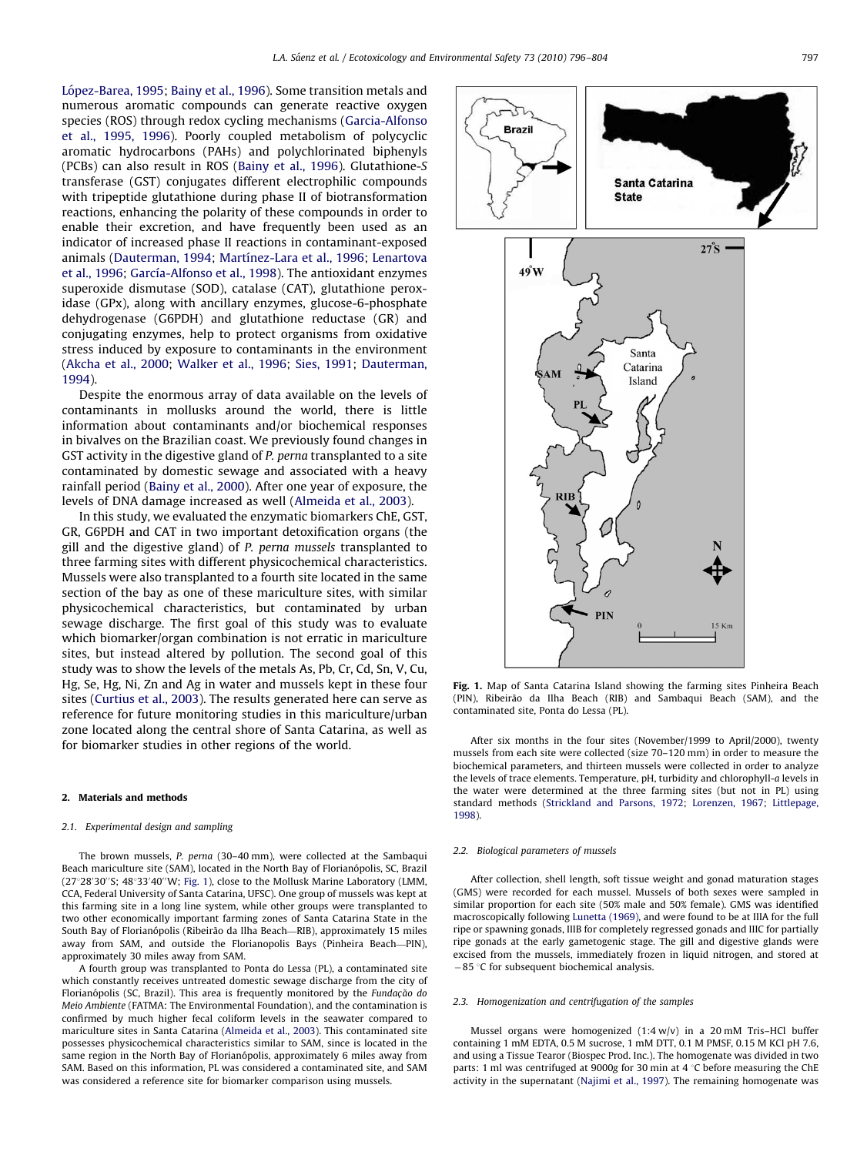<span id="page-1-0"></span>López-Barea, 1995; [Bainy et al., 1996](#page-6-0)). Some transition metals and numerous aromatic compounds can generate reactive oxygen species (ROS) through redox cycling mechanisms [\(Garcia-Alfonso](#page-7-0) [et al., 1995, 1996\)](#page-7-0). Poorly coupled metabolism of polycyclic aromatic hydrocarbons (PAHs) and polychlorinated biphenyls (PCBs) can also result in ROS ([Bainy et al., 1996](#page-6-0)). Glutathione-S transferase (GST) conjugates different electrophilic compounds with tripeptide glutathione during phase II of biotransformation reactions, enhancing the polarity of these compounds in order to enable their excretion, and have frequently been used as an indicator of increased phase II reactions in contaminant-exposed animals [\(Dauterman, 1994](#page-7-0); Martínez-Lara et al., 1996; [Lenartova](#page-7-0) [et al., 1996](#page-7-0); García-Alfonso et al., 1998). The antioxidant enzymes superoxide dismutase (SOD), catalase (CAT), glutathione peroxidase (GPx), along with ancillary enzymes, glucose-6-phosphate dehydrogenase (G6PDH) and glutathione reductase (GR) and conjugating enzymes, help to protect organisms from oxidative stress induced by exposure to contaminants in the environment ([Akcha et al., 2000;](#page-6-0) [Walker et al., 1996;](#page-8-0) [Sies, 1991](#page-8-0); [Dauterman,](#page-7-0) [1994\)](#page-7-0).

Despite the enormous array of data available on the levels of contaminants in mollusks around the world, there is little information about contaminants and/or biochemical responses in bivalves on the Brazilian coast. We previously found changes in GST activity in the digestive gland of P. perna transplanted to a site contaminated by domestic sewage and associated with a heavy rainfall period [\(Bainy et al., 2000](#page-6-0)). After one year of exposure, the levels of DNA damage increased as well ([Almeida et al., 2003\)](#page-6-0).

In this study, we evaluated the enzymatic biomarkers ChE, GST, GR, G6PDH and CAT in two important detoxification organs (the gill and the digestive gland) of P. perna mussels transplanted to three farming sites with different physicochemical characteristics. Mussels were also transplanted to a fourth site located in the same section of the bay as one of these mariculture sites, with similar physicochemical characteristics, but contaminated by urban sewage discharge. The first goal of this study was to evaluate which biomarker/organ combination is not erratic in mariculture sites, but instead altered by pollution. The second goal of this study was to show the levels of the metals As, Pb, Cr, Cd, Sn, V, Cu, Hg, Se, Hg, Ni, Zn and Ag in water and mussels kept in these four sites [\(Curtius et al., 2003\)](#page-7-0). The results generated here can serve as reference for future monitoring studies in this mariculture/urban zone located along the central shore of Santa Catarina, as well as for biomarker studies in other regions of the world.

#### 2. Materials and methods

#### 2.1. Experimental design and sampling

The brown mussels, P. perna (30–40 mm), were collected at the Sambaqui Beach mariculture site (SAM), located in the North Bay of Florianópolis, SC, Brazil (27°28'30"S; 48°33'40"W; Fig. 1), close to the Mollusk Marine Laboratory (LMM, CCA, Federal University of Santa Catarina, UFSC). One group of mussels was kept at this farming site in a long line system, while other groups were transplanted to two other economically important farming zones of Santa Catarina State in the South Bay of Florianópolis (Ribeirão da Ilha Beach—RIB), approximately 15 miles away from SAM, and outside the Florianopolis Bays (Pinheira Beach—PIN), approximately 30 miles away from SAM.

A fourth group was transplanted to Ponta do Lessa (PL), a contaminated site which constantly receives untreated domestic sewage discharge from the city of Florianópolis (SC, Brazil). This area is frequently monitored by the Fundação do Meio Ambiente (FATMA: The Environmental Foundation), and the contamination is confirmed by much higher fecal coliform levels in the seawater compared to mariculture sites in Santa Catarina ([Almeida et al., 2003\)](#page-6-0). This contaminated site possesses physicochemical characteristics similar to SAM, since is located in the same region in the North Bay of Florianopolis, approximately 6 miles away from SAM. Based on this information, PL was considered a contaminated site, and SAM was considered a reference site for biomarker comparison using mussels.



Fig. 1. Map of Santa Catarina Island showing the farming sites Pinheira Beach (PIN), Ribeirão da Ilha Beach (RIB) and Sambaqui Beach (SAM), and the contaminated site, Ponta do Lessa (PL).

After six months in the four sites (November/1999 to April/2000), twenty mussels from each site were collected (size 70–120 mm) in order to measure the biochemical parameters, and thirteen mussels were collected in order to analyze the levels of trace elements. Temperature, pH, turbidity and chlorophyll-a levels in the water were determined at the three farming sites (but not in PL) using standard methods [\(Strickland and Parsons, 1972;](#page-8-0) [Lorenzen, 1967;](#page-7-0) [Littlepage,](#page-7-0) [1998\)](#page-7-0).

#### 2.2. Biological parameters of mussels

After collection, shell length, soft tissue weight and gonad maturation stages (GMS) were recorded for each mussel. Mussels of both sexes were sampled in similar proportion for each site (50% male and 50% female). GMS was identified macroscopically following [Lunetta \(1969\),](#page-7-0) and were found to be at IIIA for the full ripe or spawning gonads, IIIB for completely regressed gonads and IIIC for partially ripe gonads at the early gametogenic stage. The gill and digestive glands were excised from the mussels, immediately frozen in liquid nitrogen, and stored at  $-85$  °C for subsequent biochemical analysis.

#### 2.3. Homogenization and centrifugation of the samples

Mussel organs were homogenized (1:4 w/v) in a 20 mM Tris–HCl buffer containing 1 mM EDTA, 0.5 M sucrose, 1 mM DTT, 0.1 M PMSF, 0.15 M KCl pH 7.6, and using a Tissue Tearor (Biospec Prod. Inc.). The homogenate was divided in two parts: 1 ml was centrifuged at 9000g for 30 min at 4  $\degree$ C before measuring the ChE activity in the supernatant [\(Najimi et al., 1997\)](#page-7-0). The remaining homogenate was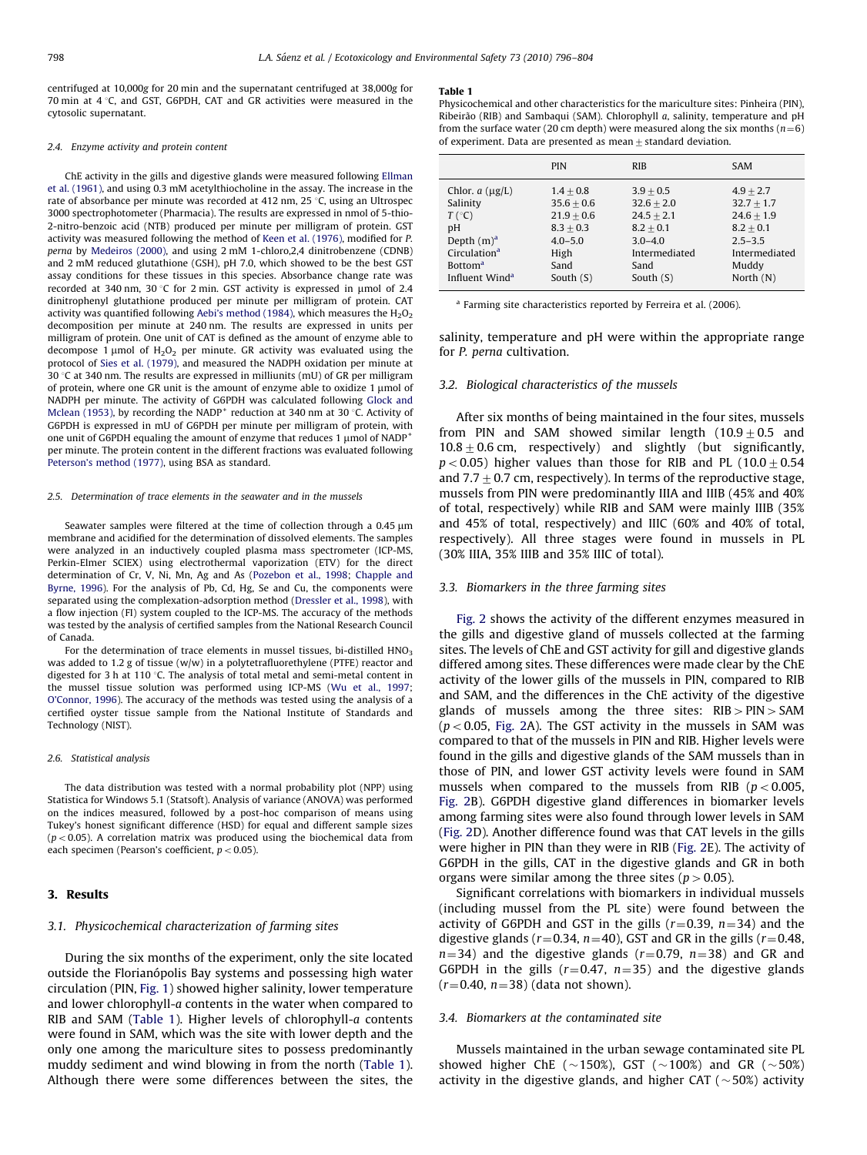<span id="page-2-0"></span>centrifuged at 10,000g for 20 min and the supernatant centrifuged at 38,000g for 70 min at  $4^{\circ}$ C, and GST, G6PDH, CAT and GR activities were measured in the cytosolic supernatant.

#### 2.4. Enzyme activity and protein content

ChE activity in the gills and digestive glands were measured following [Ellman](#page-7-0) [et al. \(1961\)](#page-7-0), and using 0.3 mM acetylthiocholine in the assay. The increase in the rate of absorbance per minute was recorded at 412 nm, 25  $\degree$ C, using an Ultrospec 3000 spectrophotometer (Pharmacia). The results are expressed in nmol of 5-thio-2-nitro-benzoic acid (NTB) produced per minute per milligram of protein. GST activity was measured following the method of [Keen et al. \(1976\)](#page-7-0), modified for P. perna by [Medeiros \(2000\)](#page-7-0), and using 2 mM 1-chloro,2,4 dinitrobenzene (CDNB) and 2 mM reduced glutathione (GSH), pH 7.0, which showed to be the best GST assay conditions for these tissues in this species. Absorbance change rate was recorded at 340 nm, 30 °C for 2 min. GST activity is expressed in  $\mu$ mol of 2.4 dinitrophenyl glutathione produced per minute per milligram of protein. CAT activity was quantified following [Aebi's method \(1984\)](#page-6-0), which measures the  $H_2O_2$ decomposition per minute at 240 nm. The results are expressed in units per milligram of protein. One unit of CAT is defined as the amount of enzyme able to decompose 1  $\mu$ mol of  $H_2O_2$  per minute. GR activity was evaluated using the protocol of [Sies et al. \(1979\)](#page-8-0), and measured the NADPH oxidation per minute at 30 °C at 340 nm. The results are expressed in milliunits (mU) of GR per milligram of protein, where one GR unit is the amount of enzyme able to oxidize  $1 \mu$ mol of NADPH per minute. The activity of G6PDH was calculated following [Glock and](#page-7-0) [Mclean \(1953\),](#page-7-0) by recording the NADP<sup>+</sup> reduction at 340 nm at 30 °C. Activity of G6PDH is expressed in mU of G6PDH per minute per milligram of protein, with one unit of G6PDH equaling the amount of enzyme that reduces 1  $\mu$ mol of NADP<sup>+</sup> per minute. The protein content in the different fractions was evaluated following [Peterson's method \(1977\)](#page-7-0), using BSA as standard.

#### 2.5. Determination of trace elements in the seawater and in the mussels

Seawater samples were filtered at the time of collection through a 0.45  $\mu$ m membrane and acidified for the determination of dissolved elements. The samples were analyzed in an inductively coupled plasma mass spectrometer (ICP-MS, Perkin-Elmer SCIEX) using electrothermal vaporization (ETV) for the direct determination of Cr, V, Ni, Mn, Ag and As ([Pozebon et al., 1998](#page-7-0); [Chapple and](#page-7-0) [Byrne, 1996\)](#page-7-0). For the analysis of Pb, Cd, Hg, Se and Cu, the components were separated using the complexation-adsorption method ([Dressler et al., 1998\)](#page-7-0), with a flow injection (FI) system coupled to the ICP-MS. The accuracy of the methods was tested by the analysis of certified samples from the National Research Council of Canada.

For the determination of trace elements in mussel tissues, bi-distilled  $HNO<sub>3</sub>$ was added to 1.2 g of tissue  $(w/w)$  in a polytetrafluorethylene (PTFE) reactor and digested for 3 h at 110  $\degree$ C. The analysis of total metal and semi-metal content in the mussel tissue solution was performed using ICP-MS [\(Wu et al., 1997](#page-8-0); [O'Connor, 1996](#page-7-0)). The accuracy of the methods was tested using the analysis of a certified oyster tissue sample from the National Institute of Standards and Technology (NIST).

## 2.6. Statistical analysis

The data distribution was tested with a normal probability plot (NPP) using Statistica for Windows 5.1 (Statsoft). Analysis of variance (ANOVA) was performed on the indices measured, followed by a post-hoc comparison of means using Tukey's honest significant difference (HSD) for equal and different sample sizes  $(p<0.05)$ . A correlation matrix was produced using the biochemical data from each specimen (Pearson's coefficient,  $p < 0.05$ ).

## 3. Results

#### 3.1. Physicochemical characterization of farming sites

During the six months of the experiment, only the site located outside the Florianópolis Bay systems and possessing high water circulation (PIN, [Fig. 1](#page-1-0)) showed higher salinity, lower temperature and lower chlorophyll-a contents in the water when compared to RIB and SAM (Table 1). Higher levels of chlorophyll-a contents were found in SAM, which was the site with lower depth and the only one among the mariculture sites to possess predominantly muddy sediment and wind blowing in from the north (Table 1). Although there were some differences between the sites, the

#### Table 1

Physicochemical and other characteristics for the mariculture sites: Pinheira (PIN), Ribeirão (RIB) and Sambaqui (SAM). Chlorophyll  $a$ , salinity, temperature and pH from the surface water (20 cm depth) were measured along the six months ( $n=6$ ) of experiment. Data are presented as mean  $\pm$  standard deviation.

|                            | <b>PIN</b>   | <b>RIB</b>    | <b>SAM</b>    |
|----------------------------|--------------|---------------|---------------|
| Chlor. $a \, (\mu g/L)$    | $1.4 + 0.8$  | $3.9 + 0.5$   | $4.9 + 2.7$   |
| Salinity                   | $35.6 + 0.6$ | $32.6 + 2.0$  | $32.7 + 1.7$  |
| $T(^{\circ}C)$             | $21.9 + 0.6$ | $24.5 + 2.1$  | $24.6 + 1.9$  |
| pH                         | $8.3 + 0.3$  | $8.2 + 0.1$   | $8.2 + 0.1$   |
| Depth $(m)^a$              | $4.0 - 5.0$  | $3.0 - 4.0$   | $2.5 - 3.5$   |
| Circulation <sup>a</sup>   | High         | Intermediated | Intermediated |
| <b>Bottom<sup>a</sup></b>  | Sand         | Sand          | Muddy         |
| Influent Wind <sup>a</sup> | South $(S)$  | South $(S)$   | North (N)     |

<sup>a</sup> Farming site characteristics reported by Ferreira et al. (2006).

salinity, temperature and pH were within the appropriate range for P. perna cultivation.

#### 3.2. Biological characteristics of the mussels

After six months of being maintained in the four sites, mussels from PIN and SAM showed similar length  $(10.9\pm0.5$  and  $10.8\pm0.6$  cm, respectively) and slightly (but significantly,  $p < 0.05$ ) higher values than those for RIB and PL (10.0 + 0.54 and  $7.7+0.7$  cm, respectively). In terms of the reproductive stage, mussels from PIN were predominantly IIIA and IIIB (45% and 40% of total, respectively) while RIB and SAM were mainly IIIB (35% and 45% of total, respectively) and IIIC (60% and 40% of total, respectively). All three stages were found in mussels in PL (30% IIIA, 35% IIIB and 35% IIIC of total).

## 3.3. Biomarkers in the three farming sites

[Fig. 2](#page-3-0) shows the activity of the different enzymes measured in the gills and digestive gland of mussels collected at the farming sites. The levels of ChE and GST activity for gill and digestive glands differed among sites. These differences were made clear by the ChE activity of the lower gills of the mussels in PIN, compared to RIB and SAM, and the differences in the ChE activity of the digestive glands of mussels among the three sites:  $RIB > PIN > SAM$  $(p < 0.05$ , [Fig. 2](#page-3-0)A). The GST activity in the mussels in SAM was compared to that of the mussels in PIN and RIB. Higher levels were found in the gills and digestive glands of the SAM mussels than in those of PIN, and lower GST activity levels were found in SAM mussels when compared to the mussels from RIB ( $p < 0.005$ , [Fig. 2](#page-3-0)B). G6PDH digestive gland differences in biomarker levels among farming sites were also found through lower levels in SAM ([Fig. 2](#page-3-0)D). Another difference found was that CAT levels in the gills were higher in PIN than they were in RIB [\(Fig. 2E](#page-3-0)). The activity of G6PDH in the gills, CAT in the digestive glands and GR in both organs were similar among the three sites ( $p > 0.05$ ).

Significant correlations with biomarkers in individual mussels (including mussel from the PL site) were found between the activity of G6PDH and GST in the gills  $(r=0.39, n=34)$  and the digestive glands ( $r=0.34$ ,  $n=40$ ), GST and GR in the gills ( $r=0.48$ ,  $n=34$ ) and the digestive glands ( $r=0.79$ ,  $n=38$ ) and GR and G6PDH in the gills ( $r=0.47$ ,  $n=35$ ) and the digestive glands  $(r=0.40, n=38)$  (data not shown).

## 3.4. Biomarkers at the contaminated site

Mussels maintained in the urban sewage contaminated site PL showed higher ChE ( $\sim$ 150%), GST ( $\sim$ 100%) and GR ( $\sim$ 50%) activity in the digestive glands, and higher CAT ( $\sim$ 50%) activity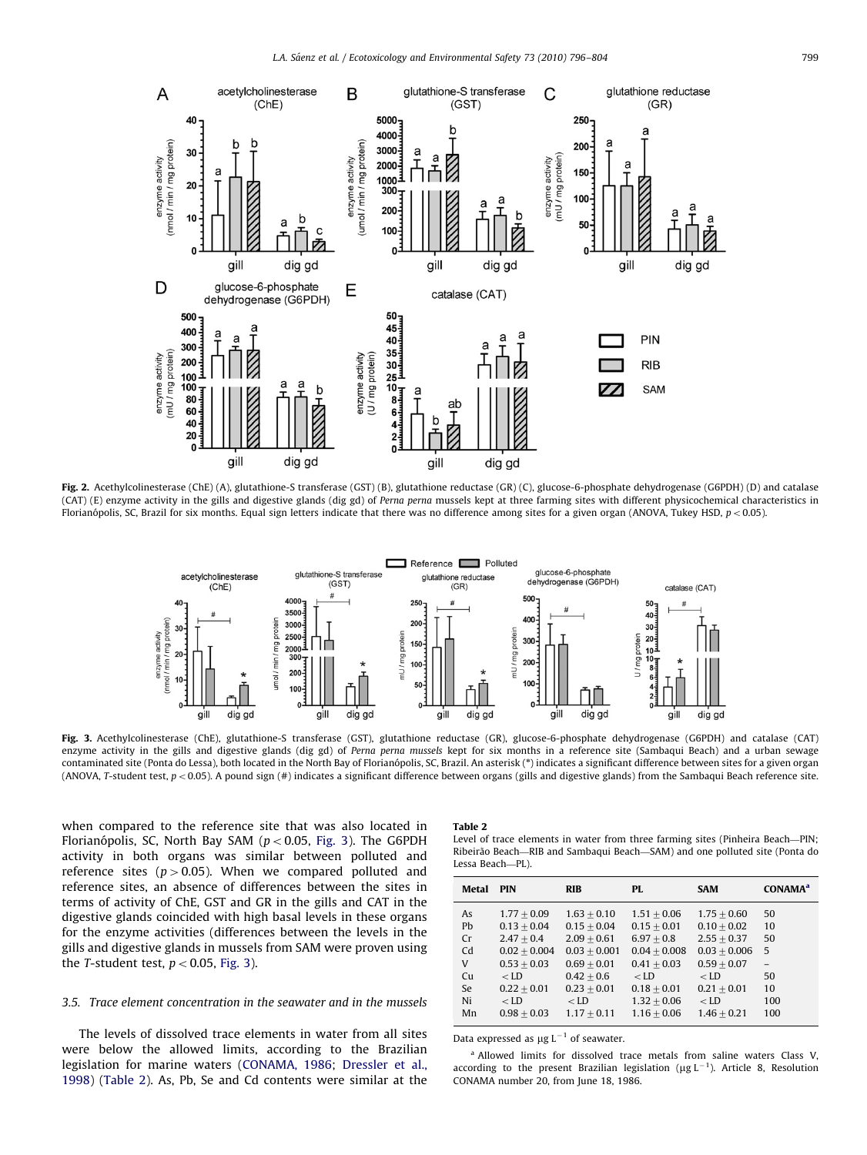<span id="page-3-0"></span>

Fig. 2. Acethylcolinesterase (ChE) (A), glutathione-S transferase (GST) (B), glutathione reductase (GR) (C), glucose-6-phosphate dehydrogenase (G6PDH) (D) and catalase (CAT) (E) enzyme activity in the gills and digestive glands (dig gd) of Perna perna mussels kept at three farming sites with different physicochemical characteristics in Florianópolis, SC, Brazil for six months. Equal sign letters indicate that there was no difference among sites for a given organ (ANOVA, Tukey HSD,  $p < 0.05$ ).



Fig. 3. Acethylcolinesterase (ChE), glutathione-S transferase (GST), glutathione reductase (GR), glucose-6-phosphate dehydrogenase (G6PDH) and catalase (CAT) enzyme activity in the gills and digestive glands (dig gd) of Perna perna mussels kept for six months in a reference site (Sambaqui Beach) and a urban sewage contaminated site (Ponta do Lessa), both located in the North Bay of Florianópolis, SC, Brazil. An asterisk (\*) indicates a significant difference between sites for a given organ (ANOVA, T-student test,  $p < 0.05$ ). A pound sign (#) indicates a significant difference between organs (gills and digestive glands) from the Sambaqui Beach reference site.

when compared to the reference site that was also located in Florianópolis, SC, North Bay SAM ( $p < 0.05$ , Fig. 3). The G6PDH activity in both organs was similar between polluted and reference sites ( $p > 0.05$ ). When we compared polluted and reference sites, an absence of differences between the sites in terms of activity of ChE, GST and GR in the gills and CAT in the digestive glands coincided with high basal levels in these organs for the enzyme activities (differences between the levels in the gills and digestive glands in mussels from SAM were proven using the T-student test,  $p < 0.05$ , Fig. 3).

## 3.5. Trace element concentration in the seawater and in the mussels

The levels of dissolved trace elements in water from all sites were below the allowed limits, according to the Brazilian legislation for marine waters ([CONAMA, 1986](#page-7-0); [Dressler et al.,](#page-7-0) [1998\)](#page-7-0) (Table 2). As, Pb, Se and Cd contents were similar at the

### Table 2

Level of trace elements in water from three farming sites (Pinheira Beach—PIN; Ribeirao Beach ~ —RIB and Sambaqui Beach—SAM) and one polluted site (Ponta do Lessa Beach—PL).

| Metal          | <b>PIN</b>     | <b>RIB</b>     | PL             | <b>SAM</b>     | <b>CONAMA</b> <sup>a</sup> |
|----------------|----------------|----------------|----------------|----------------|----------------------------|
| As             | $1.77 + 0.09$  | $1.63 + 0.10$  | $1.51 + 0.06$  | $1.75 + 0.60$  | 50                         |
| P <sub>b</sub> | $0.13 + 0.04$  | $0.15 + 0.04$  | $0.15 + 0.01$  | $0.10 + 0.02$  | 10                         |
| Cr             | $2.47 + 0.4$   | $2.09 + 0.61$  | $6.97 + 0.8$   | $2.55 + 0.37$  | 50                         |
| C <sub>d</sub> | $0.02 + 0.004$ | $0.03 + 0.001$ | $0.04 + 0.008$ | $0.03 + 0.006$ | 5                          |
| V              | $0.53 + 0.03$  | $0.69 + 0.01$  | $0.41 + 0.03$  | $0.59 + 0.07$  | $\equiv$                   |
| Cu             | $<$ LD         | $0.42 + 0.6$   | $<$ LD         | $<$ LD         | 50                         |
| Se.            | $0.22 + 0.01$  | $0.23 + 0.01$  | $0.18 + 0.01$  | $0.21 + 0.01$  | 10                         |
| Ni             | $<$ LD         | $<$ LD         | $1.32 + 0.06$  | $<$ LD         | 100                        |
| Mn             | $0.98 + 0.03$  | $1.17 + 0.11$  | $1.16 + 0.06$  | $1.46 + 0.21$  | 100                        |

Data expressed as  $\mu$ g L<sup>-1</sup> of seawater.

<sup>a</sup> Allowed limits for dissolved trace metals from saline waters Class V, according to the present Brazilian legislation ( $\mu$ g L<sup>-1</sup>). Article 8, Resolution CONAMA number 20, from June 18, 1986.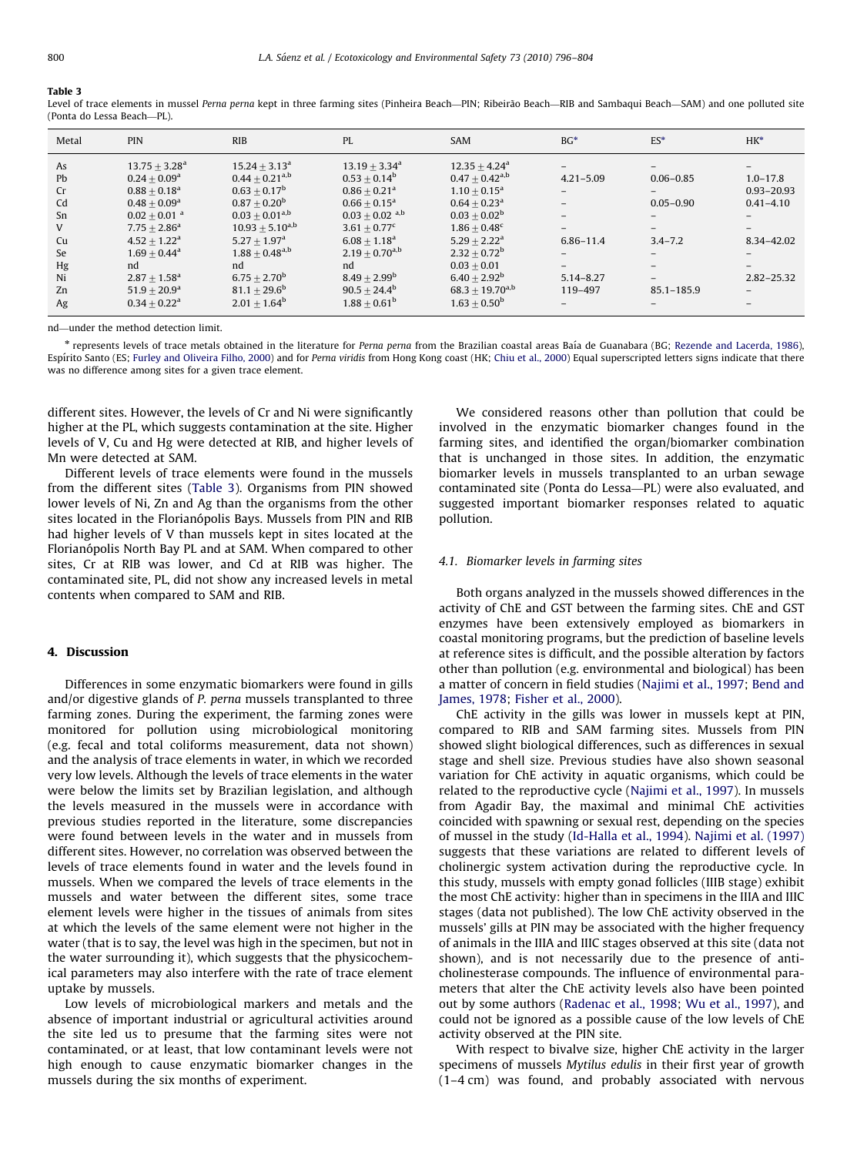## Table 3

Level of trace elements in mussel Perna perna kept in three farming sites (Pinheira Beach—PIN; Ribeirão Beach—RIB and Sambaqui Beach—SAM) and one polluted site (Ponta do Lessa Beach—PL).

| Metal                                                               | <b>PIN</b>                                                                                                                                                                                                                                                                            | <b>RIB</b>                                                                                                                                                                                                                                                                       | PL                                                                                                                                                                                                                                                                                 | <b>SAM</b>                                                                                                                                                                                                                                                                                 | $BG*$                                                                              | $ES*$                                                                         | $HK^*$                                                                                                                                              |
|---------------------------------------------------------------------|---------------------------------------------------------------------------------------------------------------------------------------------------------------------------------------------------------------------------------------------------------------------------------------|----------------------------------------------------------------------------------------------------------------------------------------------------------------------------------------------------------------------------------------------------------------------------------|------------------------------------------------------------------------------------------------------------------------------------------------------------------------------------------------------------------------------------------------------------------------------------|--------------------------------------------------------------------------------------------------------------------------------------------------------------------------------------------------------------------------------------------------------------------------------------------|------------------------------------------------------------------------------------|-------------------------------------------------------------------------------|-----------------------------------------------------------------------------------------------------------------------------------------------------|
| As<br>Pb<br>Cr<br>Cd<br>Sn<br>V<br>Cu<br>Se<br>Hg<br>Ni<br>Zn<br>Ag | $13.75 + 3.28a$<br>$0.24 + 0.09$ <sup>a</sup><br>$0.88 + 0.18$ <sup>a</sup><br>$0.48 + 0.09$ <sup>a</sup><br>$0.02 + 0.01$ <sup>a</sup><br>$7.75 + 2.86^a$<br>$4.52 + 1.22^a$<br>$1.69 + 0.44$ <sup>a</sup><br>nd<br>$2.87 + 1.58$ <sup>a</sup><br>$51.9 + 20.9^a$<br>$0.34 + 0.22^a$ | $15.24 + 3.13a$<br>$0.44 + 0.21^{a,b}$<br>$0.63 \pm 0.17^{\rm b}$<br>$0.87 + 0.20b$<br>$0.03 \pm 0.01^{\rm a,b}$<br>$10.93 \pm 5.10^{a,b}$<br>$5.27 + 1.97$ <sup>a</sup><br>$1.88\pm0.48^{\rm a,b}$<br>nd<br>$6.75 + 2.70^{\rm b}$<br>$81.1 + 29.6^{\rm b}$<br>$2.01 \pm 1.64^b$ | $13.19 + 3.34^a$<br>$0.53 + 0.14^b$<br>$0.86 + 0.21$ <sup>a</sup><br>$0.66 + 0.15^a$<br>$0.03 \pm 0.02$ <sup>a,b</sup><br>$3.61 + 0.77^c$<br>$6.08 + 1.18$ <sup>a</sup><br>$2.19 + 0.70$ <sup>a,b</sup><br>nd<br>$8.49 + 2.99^{\rm b}$<br>$90.5 + 24.4^b$<br>$1.88 + 0.61^{\rm b}$ | $12.35 + 4.24$ <sup>a</sup><br>$0.47 + 0.42^{\text{a},\text{b}}$<br>$1.10 + 0.15^a$<br>$0.64 + 0.23$ <sup>a</sup><br>$0.03 + 0.02^b$<br>$1.86 + 0.48^c$<br>$5.29 + 2.22^a$<br>$2.32 + 0.72^b$<br>$0.03 + 0.01$<br>$6.40 + 2.92^{\rm b}$<br>$68.3 + 19.70^{a,b}$<br>$1.63 \pm 0.50^{\rm b}$ | $4.21 - 5.09$<br>$-$<br>$-$<br>$-$<br>6.86-11.4<br>$-$<br>$5.14 - 8.27$<br>119-497 | $0.06 - 0.85$<br>$-$<br>$0.05 - 0.90$<br>$-$<br>$3.4 - 7.2$<br>$85.1 - 185.9$ | $1.0 - 17.8$<br>$0.93 - 20.93$<br>$0.41 - 4.10$<br>$-$<br>8.34-42.02<br>$\overline{\phantom{0}}$<br>$2.82 - 25.32$<br>$\overline{\phantom{0}}$<br>- |

nd—under the method detection limit.

\* represents levels of trace metals obtained in the literature for Perna perna from the Brazilian coastal areas Baía de Guanabara (BG; [Rezende and Lacerda, 1986\)](#page-8-0), Espírito Santo (ES; [Furley and Oliveira Filho, 2000\)](#page-7-0) and for Perna viridis from Hong Kong coast (HK; [Chiu et al., 2000](#page-7-0)) Equal superscripted letters signs indicate that there was no difference among sites for a given trace element.

different sites. However, the levels of Cr and Ni were significantly higher at the PL, which suggests contamination at the site. Higher levels of V, Cu and Hg were detected at RIB, and higher levels of Mn were detected at SAM.

Different levels of trace elements were found in the mussels from the different sites (Table 3). Organisms from PIN showed lower levels of Ni, Zn and Ag than the organisms from the other sites located in the Florianópolis Bays. Mussels from PIN and RIB had higher levels of V than mussels kept in sites located at the Florianópolis North Bay PL and at SAM. When compared to other sites, Cr at RIB was lower, and Cd at RIB was higher. The contaminated site, PL, did not show any increased levels in metal contents when compared to SAM and RIB.

## 4. Discussion

Differences in some enzymatic biomarkers were found in gills and/or digestive glands of P. perna mussels transplanted to three farming zones. During the experiment, the farming zones were monitored for pollution using microbiological monitoring (e.g. fecal and total coliforms measurement, data not shown) and the analysis of trace elements in water, in which we recorded very low levels. Although the levels of trace elements in the water were below the limits set by Brazilian legislation, and although the levels measured in the mussels were in accordance with previous studies reported in the literature, some discrepancies were found between levels in the water and in mussels from different sites. However, no correlation was observed between the levels of trace elements found in water and the levels found in mussels. When we compared the levels of trace elements in the mussels and water between the different sites, some trace element levels were higher in the tissues of animals from sites at which the levels of the same element were not higher in the water (that is to say, the level was high in the specimen, but not in the water surrounding it), which suggests that the physicochemical parameters may also interfere with the rate of trace element uptake by mussels.

Low levels of microbiological markers and metals and the absence of important industrial or agricultural activities around the site led us to presume that the farming sites were not contaminated, or at least, that low contaminant levels were not high enough to cause enzymatic biomarker changes in the mussels during the six months of experiment.

We considered reasons other than pollution that could be involved in the enzymatic biomarker changes found in the farming sites, and identified the organ/biomarker combination that is unchanged in those sites. In addition, the enzymatic biomarker levels in mussels transplanted to an urban sewage contaminated site (Ponta do Lessa—PL) were also evaluated, and suggested important biomarker responses related to aquatic pollution.

#### 4.1. Biomarker levels in farming sites

Both organs analyzed in the mussels showed differences in the activity of ChE and GST between the farming sites. ChE and GST enzymes have been extensively employed as biomarkers in coastal monitoring programs, but the prediction of baseline levels at reference sites is difficult, and the possible alteration by factors other than pollution (e.g. environmental and biological) has been a matter of concern in field studies [\(Najimi et al., 1997;](#page-7-0) [Bend and](#page-6-0) [James, 1978](#page-6-0); [Fisher et al., 2000\)](#page-7-0).

ChE activity in the gills was lower in mussels kept at PIN, compared to RIB and SAM farming sites. Mussels from PIN showed slight biological differences, such as differences in sexual stage and shell size. Previous studies have also shown seasonal variation for ChE activity in aquatic organisms, which could be related to the reproductive cycle [\(Najimi et al., 1997](#page-7-0)). In mussels from Agadir Bay, the maximal and minimal ChE activities coincided with spawning or sexual rest, depending on the species of mussel in the study ([Id-Halla et al., 1994\)](#page-7-0). [Najimi et al. \(1997\)](#page-7-0) suggests that these variations are related to different levels of cholinergic system activation during the reproductive cycle. In this study, mussels with empty gonad follicles (IIIB stage) exhibit the most ChE activity: higher than in specimens in the IIIA and IIIC stages (data not published). The low ChE activity observed in the mussels' gills at PIN may be associated with the higher frequency of animals in the IIIA and IIIC stages observed at this site (data not shown), and is not necessarily due to the presence of anticholinesterase compounds. The influence of environmental parameters that alter the ChE activity levels also have been pointed out by some authors ([Radenac et al., 1998;](#page-7-0) [Wu et al., 1997\)](#page-8-0), and could not be ignored as a possible cause of the low levels of ChE activity observed at the PIN site.

With respect to bivalve size, higher ChE activity in the larger specimens of mussels Mytilus edulis in their first year of growth (1–4 cm) was found, and probably associated with nervous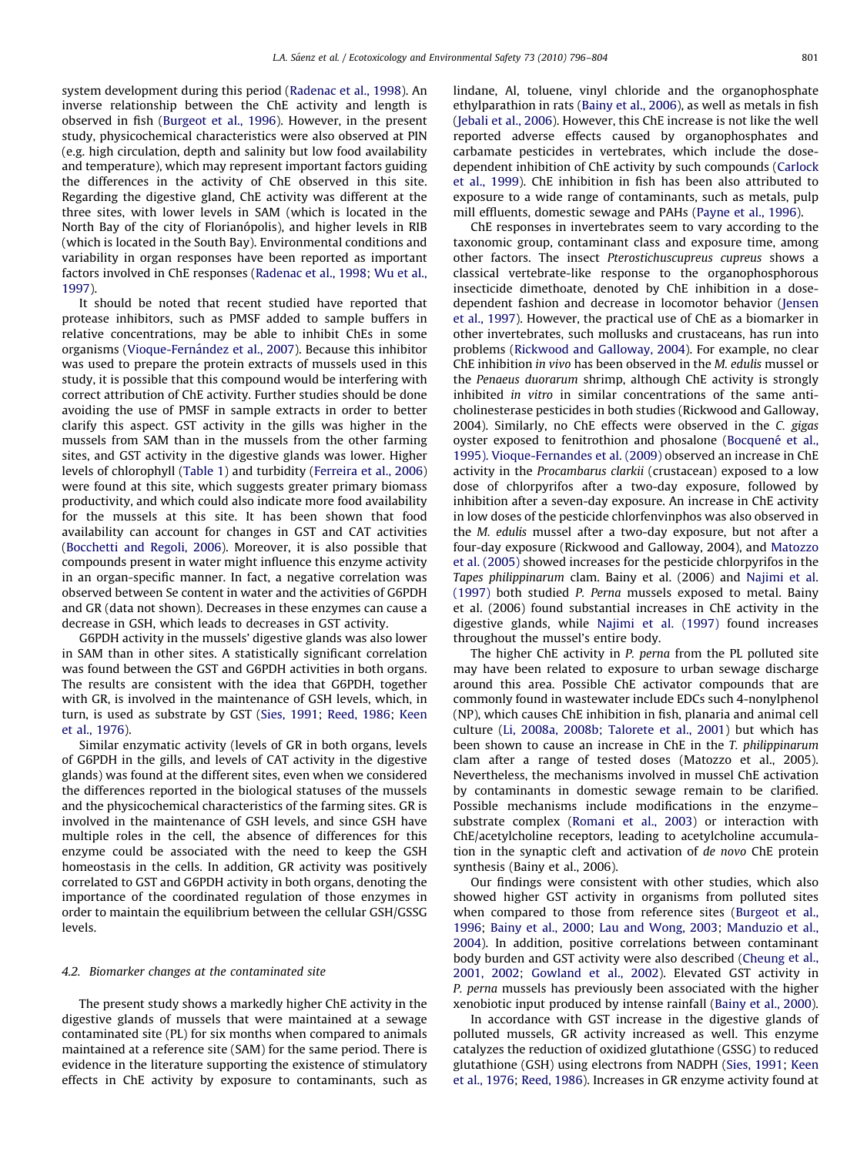system development during this period [\(Radenac et al., 1998\)](#page-7-0). An inverse relationship between the ChE activity and length is observed in fish [\(Burgeot et al., 1996\)](#page-7-0). However, in the present study, physicochemical characteristics were also observed at PIN (e.g. high circulation, depth and salinity but low food availability and temperature), which may represent important factors guiding the differences in the activity of ChE observed in this site. Regarding the digestive gland, ChE activity was different at the three sites, with lower levels in SAM (which is located in the North Bay of the city of Florianópolis), and higher levels in RIB (which is located in the South Bay). Environmental conditions and variability in organ responses have been reported as important factors involved in ChE responses ([Radenac et al., 1998;](#page-7-0) [Wu et al.,](#page-8-0) [1997\)](#page-8-0).

It should be noted that recent studied have reported that protease inhibitors, such as PMSF added to sample buffers in relative concentrations, may be able to inhibit ChEs in some organisms (Vioque-Fernández et al., 2007). Because this inhibitor was used to prepare the protein extracts of mussels used in this study, it is possible that this compound would be interfering with correct attribution of ChE activity. Further studies should be done avoiding the use of PMSF in sample extracts in order to better clarify this aspect. GST activity in the gills was higher in the mussels from SAM than in the mussels from the other farming sites, and GST activity in the digestive glands was lower. Higher levels of chlorophyll [\(Table 1](#page-2-0)) and turbidity ([Ferreira et al., 2006\)](#page-7-0) were found at this site, which suggests greater primary biomass productivity, and which could also indicate more food availability for the mussels at this site. It has been shown that food availability can account for changes in GST and CAT activities ([Bocchetti and Regoli, 2006](#page-6-0)). Moreover, it is also possible that compounds present in water might influence this enzyme activity in an organ-specific manner. In fact, a negative correlation was observed between Se content in water and the activities of G6PDH and GR (data not shown). Decreases in these enzymes can cause a decrease in GSH, which leads to decreases in GST activity.

G6PDH activity in the mussels' digestive glands was also lower in SAM than in other sites. A statistically significant correlation was found between the GST and G6PDH activities in both organs. The results are consistent with the idea that G6PDH, together with GR, is involved in the maintenance of GSH levels, which, in turn, is used as substrate by GST [\(Sies, 1991;](#page-8-0) [Reed, 1986](#page-8-0); [Keen](#page-7-0) [et al., 1976](#page-7-0)).

Similar enzymatic activity (levels of GR in both organs, levels of G6PDH in the gills, and levels of CAT activity in the digestive glands) was found at the different sites, even when we considered the differences reported in the biological statuses of the mussels and the physicochemical characteristics of the farming sites. GR is involved in the maintenance of GSH levels, and since GSH have multiple roles in the cell, the absence of differences for this enzyme could be associated with the need to keep the GSH homeostasis in the cells. In addition, GR activity was positively correlated to GST and G6PDH activity in both organs, denoting the importance of the coordinated regulation of those enzymes in order to maintain the equilibrium between the cellular GSH/GSSG levels.

## 4.2. Biomarker changes at the contaminated site

The present study shows a markedly higher ChE activity in the digestive glands of mussels that were maintained at a sewage contaminated site (PL) for six months when compared to animals maintained at a reference site (SAM) for the same period. There is evidence in the literature supporting the existence of stimulatory effects in ChE activity by exposure to contaminants, such as lindane, Al, toluene, vinyl chloride and the organophosphate ethylparathion in rats ([Bainy et al., 2006](#page-6-0)), as well as metals in fish ([Jebali et al., 2006](#page-7-0)). However, this ChE increase is not like the well reported adverse effects caused by organophosphates and carbamate pesticides in vertebrates, which include the dosedependent inhibition of ChE activity by such compounds [\(Carlock](#page-7-0) [et al., 1999\)](#page-7-0). ChE inhibition in fish has been also attributed to exposure to a wide range of contaminants, such as metals, pulp mill effluents, domestic sewage and PAHs ([Payne et al., 1996](#page-7-0)).

ChE responses in invertebrates seem to vary according to the taxonomic group, contaminant class and exposure time, among other factors. The insect Pterostichuscupreus cupreus shows a classical vertebrate-like response to the organophosphorous insecticide dimethoate, denoted by ChE inhibition in a dosedependent fashion and decrease in locomotor behavior ([Jensen](#page-7-0) [et al., 1997](#page-7-0)). However, the practical use of ChE as a biomarker in other invertebrates, such mollusks and crustaceans, has run into problems ([Rickwood and Galloway, 2004\)](#page-8-0). For example, no clear ChE inhibition in vivo has been observed in the M. edulis mussel or the Penaeus duorarum shrimp, although ChE activity is strongly inhibited in vitro in similar concentrations of the same anticholinesterase pesticides in both studies (Rickwood and Galloway, 2004). Similarly, no ChE effects were observed in the C. gigas oyster exposed to fenitrothion and phosalone (Bocquené et al., [1995\). Vioque-Fernandes et al. \(2009\)](#page-7-0) observed an increase in ChE activity in the Procambarus clarkii (crustacean) exposed to a low dose of chlorpyrifos after a two-day exposure, followed by inhibition after a seven-day exposure. An increase in ChE activity in low doses of the pesticide chlorfenvinphos was also observed in the M. edulis mussel after a two-day exposure, but not after a four-day exposure (Rickwood and Galloway, 2004), and [Matozzo](#page-7-0) [et al. \(2005\)](#page-7-0) showed increases for the pesticide chlorpyrifos in the Tapes philippinarum clam. Bainy et al. (2006) and [Najimi et al.](#page-7-0) [\(1997\)](#page-7-0) both studied P. Perna mussels exposed to metal. Bainy et al. (2006) found substantial increases in ChE activity in the digestive glands, while [Najimi et al. \(1997\)](#page-7-0) found increases throughout the mussel's entire body.

The higher ChE activity in P. perna from the PL polluted site may have been related to exposure to urban sewage discharge around this area. Possible ChE activator compounds that are commonly found in wastewater include EDCs such 4-nonylphenol (NP), which causes ChE inhibition in fish, planaria and animal cell culture ([Li, 2008a, 2008b; Talorete et al., 2001](#page-7-0)) but which has been shown to cause an increase in ChE in the T. philippinarum clam after a range of tested doses (Matozzo et al., 2005). Nevertheless, the mechanisms involved in mussel ChE activation by contaminants in domestic sewage remain to be clarified. Possible mechanisms include modifications in the enzyme– substrate complex [\(Romani et al., 2003\)](#page-8-0) or interaction with ChE/acetylcholine receptors, leading to acetylcholine accumulation in the synaptic cleft and activation of de novo ChE protein synthesis (Bainy et al., 2006).

Our findings were consistent with other studies, which also showed higher GST activity in organisms from polluted sites when compared to those from reference sites ([Burgeot et al.,](#page-7-0) [1996;](#page-7-0) [Bainy et al., 2000;](#page-6-0) [Lau and Wong, 2003](#page-7-0); [Manduzio et al.,](#page-7-0) [2004\)](#page-7-0). In addition, positive correlations between contaminant body burden and GST activity were also described [\(Cheung](#page-7-0) et al., [2001, 2002;](#page-7-0) [Gowland et al., 2002\)](#page-7-0). Elevated GST activity in P. perna mussels has previously been associated with the higher xenobiotic input produced by intense rainfall [\(Bainy et al., 2000\)](#page-6-0).

In accordance with GST increase in the digestive glands of polluted mussels, GR activity increased as well. This enzyme catalyzes the reduction of oxidized glutathione (GSSG) to reduced glutathione (GSH) using electrons from NADPH [\(Sies, 1991](#page-8-0); [Keen](#page-7-0) [et al., 1976](#page-7-0); [Reed, 1986](#page-8-0)). Increases in GR enzyme activity found at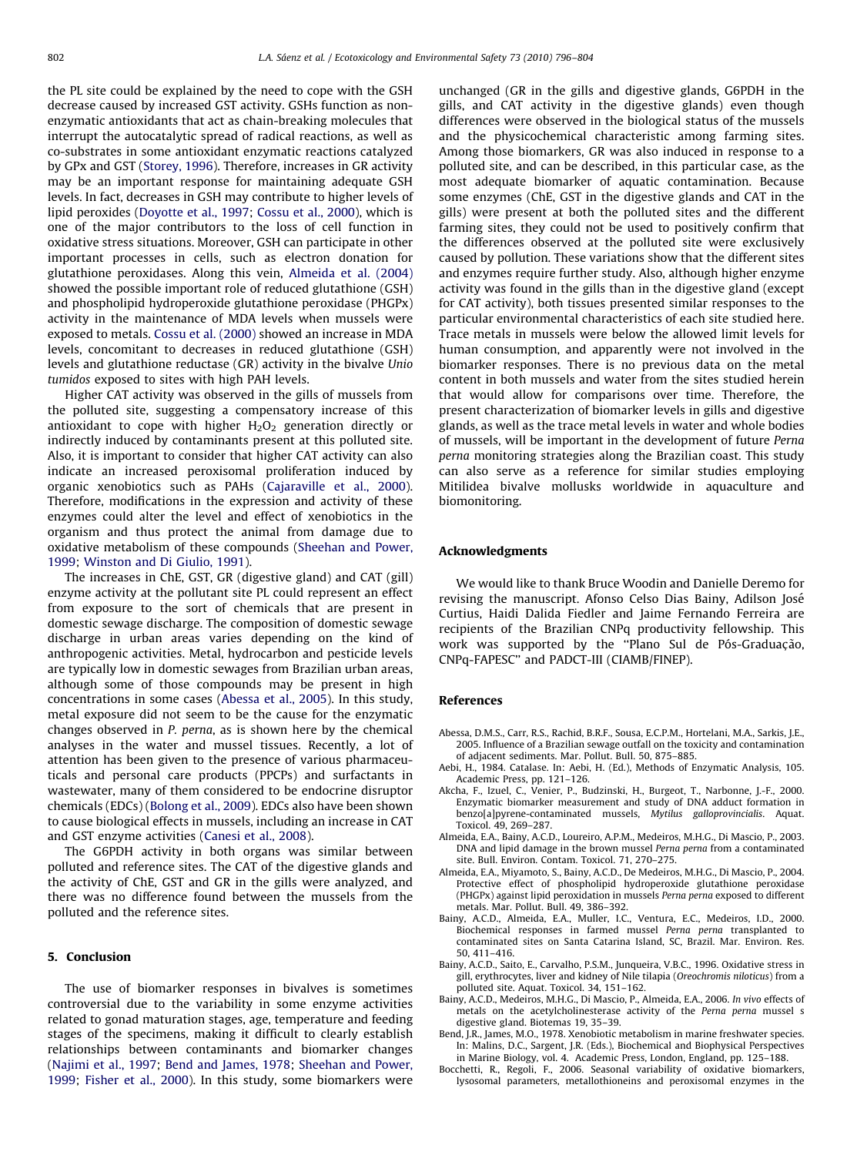<span id="page-6-0"></span>the PL site could be explained by the need to cope with the GSH decrease caused by increased GST activity. GSHs function as nonenzymatic antioxidants that act as chain-breaking molecules that interrupt the autocatalytic spread of radical reactions, as well as co-substrates in some antioxidant enzymatic reactions catalyzed by GPx and GST ([Storey, 1996](#page-8-0)). Therefore, increases in GR activity may be an important response for maintaining adequate GSH levels. In fact, decreases in GSH may contribute to higher levels of lipid peroxides ([Doyotte et al., 1997](#page-7-0); [Cossu et al., 2000\)](#page-7-0), which is one of the major contributors to the loss of cell function in oxidative stress situations. Moreover, GSH can participate in other important processes in cells, such as electron donation for glutathione peroxidases. Along this vein, Almeida et al. (2004) showed the possible important role of reduced glutathione (GSH) and phospholipid hydroperoxide glutathione peroxidase (PHGPx) activity in the maintenance of MDA levels when mussels were exposed to metals. [Cossu et al. \(2000\)](#page-7-0) showed an increase in MDA levels, concomitant to decreases in reduced glutathione (GSH) levels and glutathione reductase (GR) activity in the bivalve Unio tumidos exposed to sites with high PAH levels.

Higher CAT activity was observed in the gills of mussels from the polluted site, suggesting a compensatory increase of this antioxidant to cope with higher  $H_2O_2$  generation directly or indirectly induced by contaminants present at this polluted site. Also, it is important to consider that higher CAT activity can also indicate an increased peroxisomal proliferation induced by organic xenobiotics such as PAHs ([Cajaraville et al., 2000\)](#page-7-0). Therefore, modifications in the expression and activity of these enzymes could alter the level and effect of xenobiotics in the organism and thus protect the animal from damage due to oxidative metabolism of these compounds ([Sheehan and Power,](#page-8-0) [1999](#page-8-0); [Winston and Di Giulio, 1991](#page-8-0)).

The increases in ChE, GST, GR (digestive gland) and CAT (gill) enzyme activity at the pollutant site PL could represent an effect from exposure to the sort of chemicals that are present in domestic sewage discharge. The composition of domestic sewage discharge in urban areas varies depending on the kind of anthropogenic activities. Metal, hydrocarbon and pesticide levels are typically low in domestic sewages from Brazilian urban areas, although some of those compounds may be present in high concentrations in some cases (Abessa et al., 2005). In this study, metal exposure did not seem to be the cause for the enzymatic changes observed in P. perna, as is shown here by the chemical analyses in the water and mussel tissues. Recently, a lot of attention has been given to the presence of various pharmaceuticals and personal care products (PPCPs) and surfactants in wastewater, many of them considered to be endocrine disruptor chemicals (EDCs) [\(Bolong et al., 2009\)](#page-7-0). EDCs also have been shown to cause biological effects in mussels, including an increase in CAT and GST enzyme activities [\(Canesi et al., 2008\)](#page-7-0).

The G6PDH activity in both organs was similar between polluted and reference sites. The CAT of the digestive glands and the activity of ChE, GST and GR in the gills were analyzed, and there was no difference found between the mussels from the polluted and the reference sites.

## 5. Conclusion

The use of biomarker responses in bivalves is sometimes controversial due to the variability in some enzyme activities related to gonad maturation stages, age, temperature and feeding stages of the specimens, making it difficult to clearly establish relationships between contaminants and biomarker changes ([Najimi et al., 1997;](#page-7-0) Bend and James, 1978; [Sheehan and Power,](#page-8-0) [1999](#page-8-0); [Fisher et al., 2000\)](#page-7-0). In this study, some biomarkers were unchanged (GR in the gills and digestive glands, G6PDH in the gills, and CAT activity in the digestive glands) even though differences were observed in the biological status of the mussels and the physicochemical characteristic among farming sites. Among those biomarkers, GR was also induced in response to a polluted site, and can be described, in this particular case, as the most adequate biomarker of aquatic contamination. Because some enzymes (ChE, GST in the digestive glands and CAT in the gills) were present at both the polluted sites and the different farming sites, they could not be used to positively confirm that the differences observed at the polluted site were exclusively caused by pollution. These variations show that the different sites and enzymes require further study. Also, although higher enzyme activity was found in the gills than in the digestive gland (except for CAT activity), both tissues presented similar responses to the particular environmental characteristics of each site studied here. Trace metals in mussels were below the allowed limit levels for human consumption, and apparently were not involved in the biomarker responses. There is no previous data on the metal content in both mussels and water from the sites studied herein that would allow for comparisons over time. Therefore, the present characterization of biomarker levels in gills and digestive glands, as well as the trace metal levels in water and whole bodies of mussels, will be important in the development of future Perna perna monitoring strategies along the Brazilian coast. This study can also serve as a reference for similar studies employing Mitilidea bivalve mollusks worldwide in aquaculture and biomonitoring.

#### Acknowledgments

We would like to thank Bruce Woodin and Danielle Deremo for revising the manuscript. Afonso Celso Dias Bainy, Adilson Jose´ Curtius, Haidi Dalida Fiedler and Jaime Fernando Ferreira are recipients of the Brazilian CNPq productivity fellowship. This work was supported by the "Plano Sul de Pós-Graduação, CNPq-FAPESC'' and PADCT-III (CIAMB/FINEP).

## References

- Abessa, D.M.S., Carr, R.S., Rachid, B.R.F., Sousa, E.C.P.M., Hortelani, M.A., Sarkis, J.E., 2005. Influence of a Brazilian sewage outfall on the toxicity and contamination of adjacent sediments. Mar. Pollut. Bull. 50, 875–885.
- Aebi, H., 1984. Catalase. In: Aebi, H. (Ed.), Methods of Enzymatic Analysis, 105. Academic Press, pp. 121–126.
- Akcha, F., Izuel, C., Venier, P., Budzinski, H., Burgeot, T., Narbonne, J.-F., 2000. Enzymatic biomarker measurement and study of DNA adduct formation in benzo[a]pyrene-contaminated mussels, Mytilus galloprovincialis. Aquat. Toxicol. 49, 269–287.
- Almeida, E.A., Bainy, A.C.D., Loureiro, A.P.M., Medeiros, M.H.G., Di Mascio, P., 2003. DNA and lipid damage in the brown mussel Perna perna from a contaminated site. Bull. Environ. Contam. Toxicol. 71, 270–275.
- Almeida, E.A., Miyamoto, S., Bainy, A.C.D., De Medeiros, M.H.G., Di Mascio, P., 2004. Protective effect of phospholipid hydroperoxide glutathione peroxidase (PHGPx) against lipid peroxidation in mussels Perna perna exposed to different metals. Mar. Pollut. Bull. 49, 386–392.
- Bainy, A.C.D., Almeida, E.A., Muller, I.C., Ventura, E.C., Medeiros, I.D., 2000. Biochemical responses in farmed mussel Perna perna transplanted to contaminated sites on Santa Catarina Island, SC, Brazil. Mar. Environ. Res. 50, 411–416.
- Bainy, A.C.D., Saito, E., Carvalho, P.S.M., Junqueira, V.B.C., 1996. Oxidative stress in gill, erythrocytes, liver and kidney of Nile tilapia (Oreochromis niloticus) from a polluted site. Aquat. Toxicol. 34, 151–162.
- Bainy, A.C.D., Medeiros, M.H.G., Di Mascio, P., Almeida, E.A., 2006. In vivo effects of metals on the acetylcholinesterase activity of the Perna perna mussel s digestive gland. Biotemas 19, 35–39.
- Bend, J.R., James, M.O., 1978. Xenobiotic metabolism in marine freshwater species. In: Malins, D.C., Sargent, J.R. (Eds.), Biochemical and Biophysical Perspectives in Marine Biology, vol. 4. Academic Press, London, England, pp. 125–188.
- Bocchetti, R., Regoli, F., 2006. Seasonal variability of oxidative biomarkers, lysosomal parameters, metallothioneins and peroxisomal enzymes in the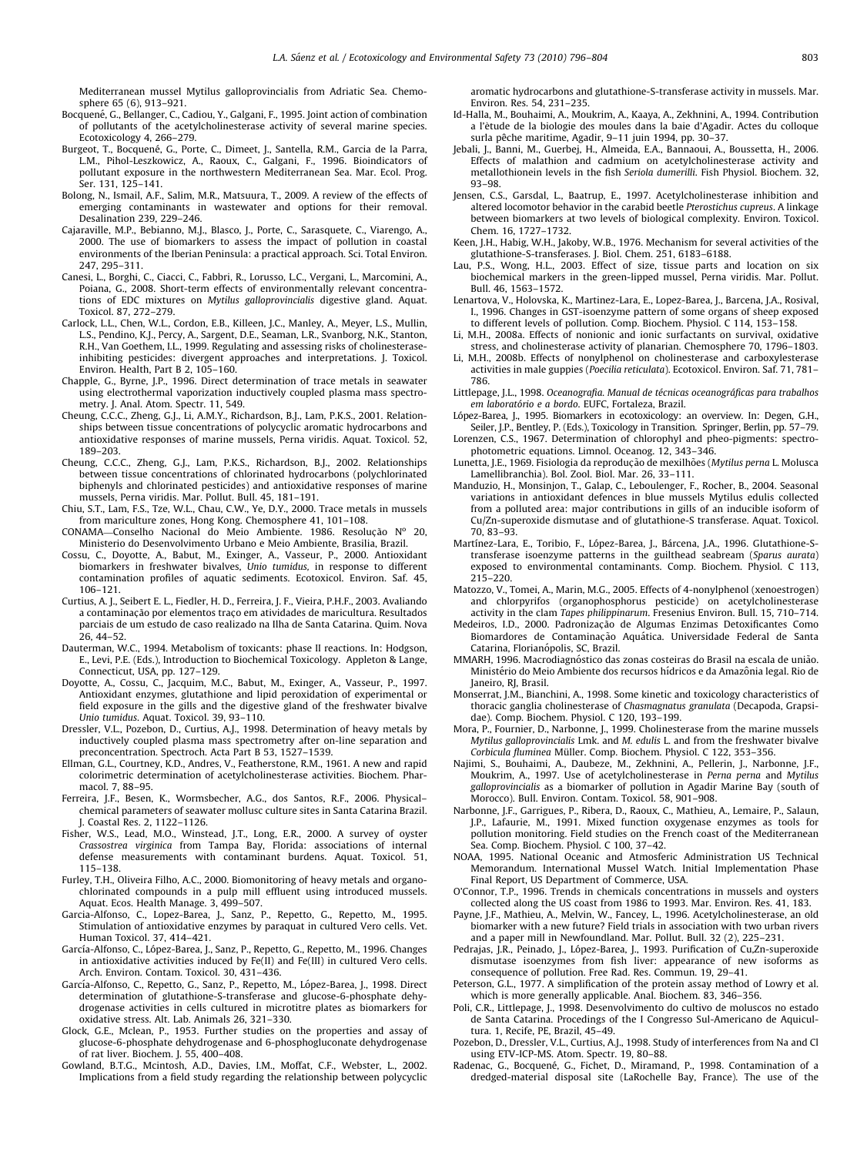<span id="page-7-0"></span>Mediterranean mussel Mytilus galloprovincialis from Adriatic Sea. Chemosphere 65 (6), 913–921.

- Bocquené, G., Bellanger, C., Cadiou, Y., Galgani, F., 1995. Joint action of combination of pollutants of the acetylcholinesterase activity of several marine species. Ecotoxicology 4, 266–279.
- Burgeot, T., Bocquené, G., Porte, C., Dimeet, J., Santella, R.M., Garcia de la Parra, L.M., Pihol-Leszkowicz, A., Raoux, C., Galgani, F., 1996. Bioindicators of pollutant exposure in the northwestern Mediterranean Sea. Mar. Ecol. Prog. Ser. 131, 125–141.
- Bolong, N., Ismail, A.F., Salim, M.R., Matsuura, T., 2009. A review of the effects of emerging contaminants in wastewater and options for their removal. Desalination 239, 229–246.
- Cajaraville, M.P., Bebianno, M.J., Blasco, J., Porte, C., Sarasquete, C., Viarengo, A., 2000. The use of biomarkers to assess the impact of pollution in coastal environments of the Iberian Peninsula: a practical approach. Sci. Total Environ. 247, 295–311.
- Canesi, L., Borghi, C., Ciacci, C., Fabbri, R., Lorusso, L.C., Vergani, L., Marcomini, A., Poiana, G., 2008. Short-term effects of environmentally relevant concentrations of EDC mixtures on Mytilus galloprovincialis digestive gland. Aquat. Toxicol. 87, 272–279.
- Carlock, L.L., Chen, W.L., Cordon, E.B., Killeen, J.C., Manley, A., Meyer, L.S., Mullin, L.S., Pendino, K.J., Percy, A., Sargent, D.E., Seaman, L.R., Svanborg, N.K., Stanton, R.H., Van Goethem, I.L., 1999. Regulating and assessing risks of cholinesteraseinhibiting pesticides: divergent approaches and interpretations. J. Toxicol. Environ. Health, Part B 2, 105–160.
- Chapple, G., Byrne, J.P., 1996. Direct determination of trace metals in seawater using electrothermal vaporization inductively coupled plasma mass spectrometry. J. Anal. Atom. Spectr. 11, 549.
- Cheung, C.C.C., Zheng, G.J., Li, A.M.Y., Richardson, B.J., Lam, P.K.S., 2001. Relationships between tissue concentrations of polycyclic aromatic hydrocarbons and antioxidative responses of marine mussels, Perna viridis. Aquat. Toxicol. 52, 189–203.
- Cheung, C.C.C., Zheng, G.J., Lam, P.K.S., Richardson, B.J., 2002. Relationships between tissue concentrations of chlorinated hydrocarbons (polychlorinated biphenyls and chlorinated pesticides) and antioxidative responses of marine mussels, Perna viridis. Mar. Pollut. Bull. 45, 181–191.
- Chiu, S.T., Lam, F.S., Tze, W.L., Chau, C.W., Ye, D.Y., 2000. Trace metals in mussels from mariculture zones, Hong Kong. Chemosphere 41, 101–108.
- $COMAMA$ —Conselho Nacional do Meio Ambiente. 1986. Resolucão  $N^{\circ}$  20, Ministerio do Desenvolvimento Urbano e Meio Ambiente, Brasilia, Brazil.
- Cossu, C., Doyotte, A., Babut, M., Exinger, A., Vasseur, P., 2000. Antioxidant biomarkers in freshwater bivalves, Unio tumidus, in response to different contamination profiles of aquatic sediments. Ecotoxicol. Environ. Saf. 45, 106–121.
- Curtius, A. J., Seibert E. L., Fiedler, H. D., Ferreira, J. F., Vieira, P.H.F., 2003. Avaliando a contaminação por elementos traço em atividades de maricultura. Resultados parciais de um estudo de caso realizado na Ilha de Santa Catarina. Quim. Nova 26, 44–52.
- Dauterman, W.C., 1994. Metabolism of toxicants: phase II reactions. In: Hodgson, E., Levi, P.E. (Eds.), Introduction to Biochemical Toxicology. Appleton & Lange, Connecticut, USA, pp. 127–129.
- Doyotte, A., Cossu, C., Jacquim, M.C., Babut, M., Exinger, A., Vasseur, P., 1997. Antioxidant enzymes, glutathione and lipid peroxidation of experimental or field exposure in the gills and the digestive gland of the freshwater bivalve Unio tumidus. Aquat. Toxicol. 39, 93–110.
- Dressler, V.L., Pozebon, D., Curtius, A.J., 1998. Determination of heavy metals by inductively coupled plasma mass spectrometry after on-line separation and preconcentration. Spectroch. Acta Part B 53, 1527–1539.
- Ellman, G.L., Courtney, K.D., Andres, V., Featherstone, R.M., 1961. A new and rapid colorimetric determination of acetylcholinesterase activities. Biochem. Pharmacol. 7, 88–95.
- Ferreira, J.F., Besen, K., Wormsbecher, A.G., dos Santos, R.F., 2006. Physical– chemical parameters of seawater mollusc culture sites in Santa Catarina Brazil. J. Coastal Res. 2, 1122–1126.
- Fisher, W.S., Lead, M.O., Winstead, J.T., Long, E.R., 2000. A survey of oyster Crassostrea virginica from Tampa Bay, Florida: associations of internal defense measurements with contaminant burdens. Aquat. Toxicol. 51, 115–138.
- Furley, T.H., Oliveira Filho, A.C., 2000. Biomonitoring of heavy metals and organochlorinated compounds in a pulp mill effluent using introduced mussels. Aquat. Ecos. Health Manage. 3, 499–507.
- Garcia-Alfonso, C., Lopez-Barea, J., Sanz, P., Repetto, G., Repetto, M., 1995. Stimulation of antioxidative enzymes by paraquat in cultured Vero cells. Vet. Human Toxicol. 37, 414–421.
- García-Alfonso, C., López-Barea, J., Sanz, P., Repetto, G., Repetto, M., 1996. Changes in antioxidative activities induced by Fe(II) and Fe(III) in cultured Vero cells. Arch. Environ. Contam. Toxicol. 30, 431–436.
- García-Alfonso, C., Repetto, G., Sanz, P., Repetto, M., López-Barea, J., 1998. Direct determination of glutathione-S-transferase and glucose-6-phosphate dehydrogenase activities in cells cultured in microtitre plates as biomarkers for oxidative stress. Alt. Lab. Animals 26, 321–330.
- Glock, G.E., Mclean, P., 1953. Further studies on the properties and assay of glucose-6-phosphate dehydrogenase and 6-phosphogluconate dehydrogenase of rat liver. Biochem. J. 55, 400–408.
- Gowland, B.T.G., Mcintosh, A.D., Davies, I.M., Moffat, C.F., Webster, L., 2002. Implications from a field study regarding the relationship between polycyclic

aromatic hydrocarbons and glutathione-S-transferase activity in mussels. Mar. Environ. Res. 54, 231–235.

- Id-Halla, M., Bouhaimi, A., Moukrim, A., Kaaya, A., Zekhnini, A., 1994. Contribution a l'ètude de la biologie des moules dans la baie d'Agadir. Actes du colloque surla pêche maritime, Agadir, 9-11 juin 1994, pp. 30-37.
- Jebali, J., Banni, M., Guerbej, H., Almeida, E.A., Bannaoui, A., Boussetta, H., 2006. Effects of malathion and cadmium on acetylcholinesterase activity and metallothionein levels in the fish Seriola dumerilli. Fish Physiol. Biochem. 32, 93–98.
- Jensen, C.S., Garsdal, L., Baatrup, E., 1997. Acetylcholinesterase inhibition and altered locomotor behavior in the carabid beetle Pterostichus cupreus. A linkage between biomarkers at two levels of biological complexity. Environ. Toxicol. Chem. 16, 1727–1732.
- Keen, J.H., Habig, W.H., Jakoby, W.B., 1976. Mechanism for several activities of the glutathione-S-transferases. J. Biol. Chem. 251, 6183–6188.
- Lau, P.S., Wong, H.L., 2003. Effect of size, tissue parts and location on six biochemical markers in the green-lipped mussel, Perna viridis. Mar. Pollut. Bull. 46, 1563–1572.
- Lenartova, V., Holovska, K., Martinez-Lara, E., Lopez-Barea, J., Barcena, J.A., Rosival, I., 1996. Changes in GST-isoenzyme pattern of some organs of sheep exposed to different levels of pollution. Comp. Biochem. Physiol. C 114, 153–158.
- Li, M.H., 2008a. Effects of nonionic and ionic surfactants on survival, oxidative stress, and cholinesterase activity of planarian. Chemosphere 70, 1796–1803.
- Li, M.H., 2008b. Effects of nonylphenol on cholinesterase and carboxylesterase activities in male guppies (Poecilia reticulata). Ecotoxicol. Environ. Saf. 71, 781– 786.
- Littlepage, J.L., 1998. Oceanografia. Manual de técnicas oceanográficas para trabalhos em laboratório e a bordo. EUFC, Fortaleza, Brazil.
- López-Barea, J., 1995. Biomarkers in ecotoxicology: an overview. In: Degen, G.H., Seiler, J.P., Bentley, P. (Eds.), Toxicology in Transition. Springer, Berlin, pp. 57–79.
- Lorenzen, C.S., 1967. Determination of chlorophyl and pheo-pigments: spectrophotometric equations. Limnol. Oceanog. 12, 343–346.
- Lunetta, J.E., 1969. Fisiologia da reprodução de mexilhões (Mytilus perna L. Molusca Lamellibranchia). Bol. Zool. Biol. Mar. 26, 33–111.
- Manduzio, H., Monsinjon, T., Galap, C., Leboulenger, F., Rocher, B., 2004. Seasonal variations in antioxidant defences in blue mussels Mytilus edulis collected from a polluted area: major contributions in gills of an inducible isoform of Cu/Zn-superoxide dismutase and of glutathione-S transferase. Aquat. Toxicol. 70, 83–93.
- Martínez-Lara, E., Toribio, F., López-Barea, J., Bárcena, J.A., 1996. Glutathione-S-<br>transferase isoenzyme patterns in the guilthead seabream (Sparus aurata) exposed to environmental contaminants. Comp. Biochem. Physiol. C 113, 215–220.
- Matozzo, V., Tomei, A., Marin, M.G., 2005. Effects of 4-nonylphenol (xenoestrogen) and chlorpyrifos (organophosphorus pesticide) on acetylcholinesterase activity in the clam Tapes philippinarum. Fresenius Environ. Bull. 15, 710–714.
- Medeiros, I.D., 2000. Padronização de Algumas Enzimas Detoxificantes Como Biomardores de Contaminação Aquática. Universidade Federal de Santa Catarina, Florianópolis, SC, Brazil.
- MMARH, 1996. Macrodiagnóstico das zonas costeiras do Brasil na escala de união. Ministério do Meio Ambiente dos recursos hídricos e da Amazônia legal. Rio de Janeiro, RJ, Brasil.
- Monserrat, J.M., Bianchini, A., 1998. Some kinetic and toxicology characteristics of thoracic ganglia cholinesterase of Chasmagnatus granulata (Decapoda, Grapsidae). Comp. Biochem. Physiol. C 120, 193–199.
- Mora, P., Fournier, D., Narbonne, J., 1999. Cholinesterase from the marine mussels Mytilus galloprovincialis Lmk. and M. edulis L. and from the freshwater bivalve Corbicula fluminea Müller. Comp. Biochem. Physiol. C 122, 353-356.
- Najimi, S., Bouhaimi, A., Daubeze, M., Zekhnini, A., Pellerin, J., Narbonne, J.F., Moukrim, A., 1997. Use of acetylcholinesterase in Perna perna and Mytilus galloprovincialis as a biomarker of pollution in Agadir Marine Bay (south of Morocco). Bull. Environ. Contam. Toxicol. 58, 901–908.
- Narbonne, J.F., Garrigues, P., Ribera, D., Raoux, C., Mathieu, A., Lemaire, P., Salaun, J.P., Lafaurie, M., 1991. Mixed function oxygenase enzymes as tools for pollution monitoring. Field studies on the French coast of the Mediterranean Sea. Comp. Biochem. Physiol. C 100, 37–42.
- NOAA, 1995. National Oceanic and Atmosferic Administration US Technical Memorandum. International Mussel Watch. Initial Implementation Phase Final Report, US Department of Commerce, USA.
- O'Connor, T.P., 1996. Trends in chemicals concentrations in mussels and oysters collected along the US coast from 1986 to 1993. Mar. Environ. Res. 41, 183.
- Payne, J.F., Mathieu, A., Melvin, W., Fancey, L., 1996. Acetylcholinesterase, an old biomarker with a new future? Field trials in association with two urban rivers and a paper mill in Newfoundland. Mar. Pollut. Bull. 32 (2), 225–231.
- Pedrajas, J.R., Peinado, J., López-Barea, J., 1993. Purification of Cu,Zn-superoxide dismutase isoenzymes from fish liver: appearance of new isoforms as consequence of pollution. Free Rad. Res. Commun. 19, 29–41.
- Peterson, G.L., 1977. A simplification of the protein assay method of Lowry et al. which is more generally applicable. Anal. Biochem. 83, 346–356.
- Poli, C.R., Littlepage, J., 1998. Desenvolvimento do cultivo de moluscos no estado de Santa Catarina. Procedings of the I Congresso Sul-Americano de Aquicultura. 1, Recife, PE, Brazil, 45–49.
- Pozebon, D., Dressler, V.L., Curtius, A.J., 1998. Study of interferences from Na and Cl using ETV-ICP-MS. Atom. Spectr. 19, 80–88.
- Radenac, G., Bocquené, G., Fichet, D., Miramand, P., 1998. Contamination of a dredged-material disposal site (LaRochelle Bay, France). The use of the